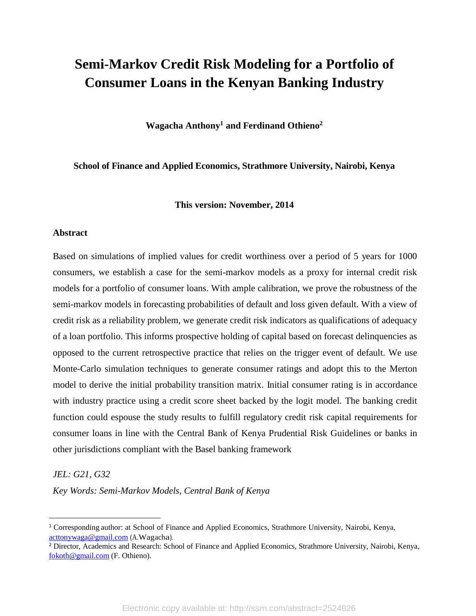# **Semi-Markov Credit Risk Modeling for a Portfolio of Consumer Loans in the Kenyan Banking Industry**

**Wagacha Anthony <sup>1</sup> and Ferdinand Othieno 2**

**School of Finance and Applied Economics, Strathmore University, Nairobi, Kenya**

**This version: November, 2014**

#### **Abstract**

Based on simulations of implied values for credit worthiness over a period of 5 years for 1000 consumers, we establish a case for the semi-markov models as a proxy for internal credit risk models for a portfolio of consumer loans. With ample calibration, we prove the robustness of the semi-markov models in forecasting probabilities of default and loss given default. With a view of credit risk as a reliability problem, we generate credit risk indicators as qualifications of adequacy of a loan portfolio. This informs prospective holding of capital based on forecast delinquencies as opposed to the current retrospective practice that relies on the trigger event of default. We use Monte-Carlo simulation techniques to generate consumer ratings and adopt this to the Merton model to derive the initial probability transition matrix. Initial consumer rating is in accordance with industry practice using a credit score sheet backed by the logit model. The banking credit function could espouse the study results to fulfill regulatory credit risk capital requirements for consumer loans in line with the Central Bank of Kenya Prudential Risk Guidelines or banks in other jurisdictions compliant with the Basel banking framework

#### *JEL: G21, G32*

 $\overline{a}$ 

*Key Words: Semi-Markov Models, Central Bank of Kenya*

<sup>1</sup> Corresponding author: at School of Finance and Applied Economics, Strathmore University, Nairobi, Kenya, [acttonywaga@gmail.com](mailto:acttonywaga@gmail.com) (A.Wagacha).

<sup>&</sup>lt;sup>2</sup> Director, Academics and Research: School of Finance and Applied Economics, Strathmore University, Nairobi, Kenya, [fokoth@gmail.com](mailto:fokoth@gmail.com) (F. Othieno).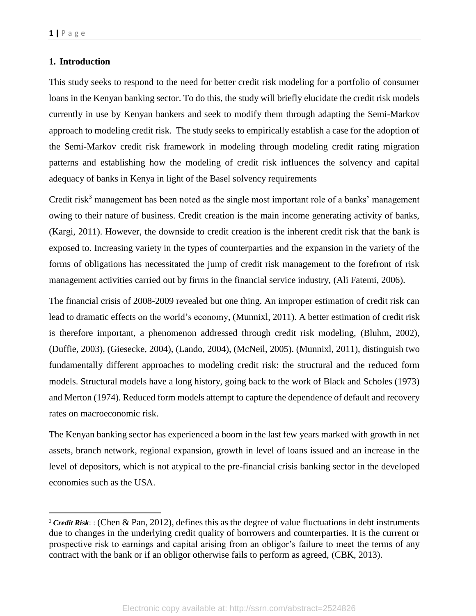$\overline{a}$ 

#### **1. Introduction**

This study seeks to respond to the need for better credit risk modeling for a portfolio of consumer loans in the Kenyan banking sector. To do this, the study will briefly elucidate the credit risk models currently in use by Kenyan bankers and seek to modify them through adapting the Semi-Markov approach to modeling credit risk. The study seeks to empirically establish a case for the adoption of the Semi-Markov credit risk framework in modeling through modeling credit rating migration patterns and establishing how the modeling of credit risk influences the solvency and capital adequacy of banks in Kenya in light of the Basel solvency requirements

Credit risk<sup>3</sup> management has been noted as the single most important role of a banks' management owing to their nature of business. Credit creation is the main income generating activity of banks, (Kargi, 2011). However, the downside to credit creation is the inherent credit risk that the bank is exposed to. Increasing variety in the types of counterparties and the expansion in the variety of the forms of obligations has necessitated the jump of credit risk management to the forefront of risk management activities carried out by firms in the financial service industry, (Ali Fatemi, 2006).

The financial crisis of 2008-2009 revealed but one thing. An improper estimation of credit risk can lead to dramatic effects on the world's economy, (Munnixl, 2011). A better estimation of credit risk is therefore important, a phenomenon addressed through credit risk modeling, (Bluhm, 2002), (Duffie, 2003), (Giesecke, 2004), (Lando, 2004), (McNeil, 2005). (Munnixl, 2011), distinguish two fundamentally different approaches to modeling credit risk: the structural and the reduced form models. Structural models have a long history, going back to the work of Black and Scholes (1973) and Merton (1974). Reduced form models attempt to capture the dependence of default and recovery rates on macroeconomic risk.

The Kenyan banking sector has experienced a boom in the last few years marked with growth in net assets, branch network, regional expansion, growth in level of loans issued and an increase in the level of depositors, which is not atypical to the pre-financial crisis banking sector in the developed economies such as the USA.

<sup>&</sup>lt;sup>3</sup> *Credit Risk*:: (Chen & Pan, 2012), defines this as the degree of value fluctuations in debt instruments due to changes in the underlying credit quality of borrowers and counterparties. It is the current or prospective risk to earnings and capital arising from an obligor's failure to meet the terms of any contract with the bank or if an obligor otherwise fails to perform as agreed, (CBK, 2013).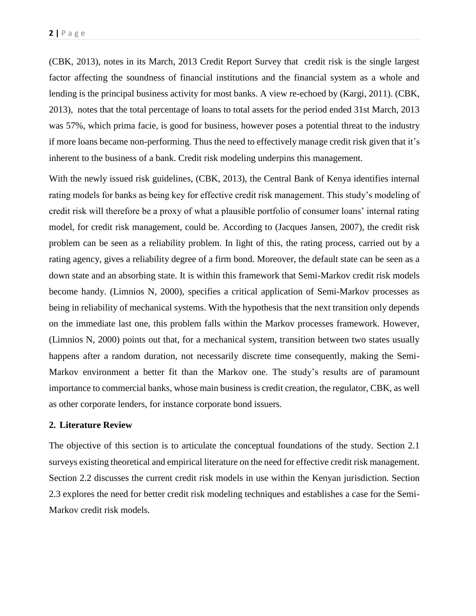(CBK, 2013), notes in its March, 2013 Credit Report Survey that credit risk is the single largest factor affecting the soundness of financial institutions and the financial system as a whole and lending is the principal business activity for most banks. A view re-echoed by (Kargi, 2011). (CBK, 2013), notes that the total percentage of loans to total assets for the period ended 31st March, 2013 was 57%, which prima facie, is good for business, however poses a potential threat to the industry if more loans became non-performing. Thus the need to effectively manage credit risk given that it's inherent to the business of a bank. Credit risk modeling underpins this management.

With the newly issued risk guidelines, (CBK, 2013), the Central Bank of Kenya identifies internal rating models for banks as being key for effective credit risk management. This study's modeling of credit risk will therefore be a proxy of what a plausible portfolio of consumer loans' internal rating model, for credit risk management, could be. According to (Jacques Jansen, 2007), the credit risk problem can be seen as a reliability problem. In light of this, the rating process, carried out by a rating agency, gives a reliability degree of a firm bond. Moreover, the default state can be seen as a down state and an absorbing state. It is within this framework that Semi-Markov credit risk models become handy. (Limnios N, 2000), specifies a critical application of Semi-Markov processes as being in reliability of mechanical systems. With the hypothesis that the next transition only depends on the immediate last one, this problem falls within the Markov processes framework. However, (Limnios N, 2000) points out that, for a mechanical system, transition between two states usually happens after a random duration, not necessarily discrete time consequently, making the Semi-Markov environment a better fit than the Markov one. The study's results are of paramount importance to commercial banks, whose main business is credit creation, the regulator, CBK, as well as other corporate lenders, for instance corporate bond issuers.

#### **2. Literature Review**

The objective of this section is to articulate the conceptual foundations of the study. Section 2.1 surveys existing theoretical and empirical literature on the need for effective credit risk management. Section 2.2 discusses the current credit risk models in use within the Kenyan jurisdiction. Section 2.3 explores the need for better credit risk modeling techniques and establishes a case for the Semi-Markov credit risk models.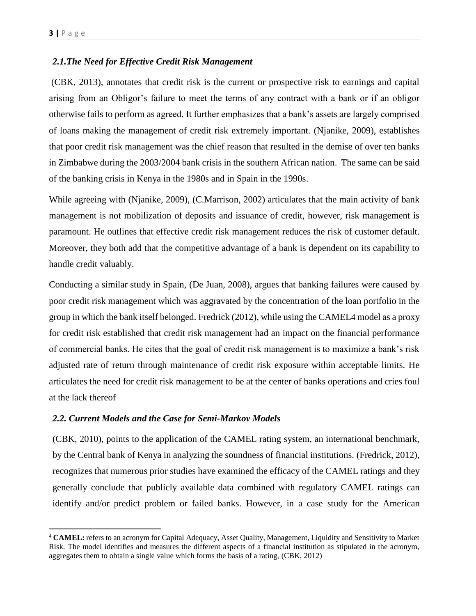$\overline{\phantom{a}}$ 

#### *2.1.The Need for Effective Credit Risk Management*

(CBK, 2013), annotates that credit risk is the current or prospective risk to earnings and capital arising from an Obligor's failure to meet the terms of any contract with a bank or if an obligor otherwise fails to perform as agreed. It further emphasizes that a bank's assets are largely comprised of loans making the management of credit risk extremely important. (Njanike, 2009), establishes that poor credit risk management was the chief reason that resulted in the demise of over ten banks in Zimbabwe during the 2003/2004 bank crisis in the southern African nation. The same can be said of the banking crisis in Kenya in the 1980s and in Spain in the 1990s.

While agreeing with (Njanike, 2009), (C.Marrison, 2002) articulates that the main activity of bank management is not mobilization of deposits and issuance of credit, however, risk management is paramount. He outlines that effective credit risk management reduces the risk of customer default. Moreover, they both add that the competitive advantage of a bank is dependent on its capability to handle credit valuably.

Conducting a similar study in Spain, (De Juan, 2008), argues that banking failures were caused by poor credit risk management which was aggravated by the concentration of the loan portfolio in the group in which the bank itself belonged. Fredrick (2012), while using the CAMEL4 model as a proxy for credit risk established that credit risk management had an impact on the financial performance of commercial banks. He cites that the goal of credit risk management is to maximize a bank's risk adjusted rate of return through maintenance of credit risk exposure within acceptable limits. He articulates the need for credit risk management to be at the center of banks operations and cries foul at the lack thereof

#### *2.2. Current Models and the Case for Semi-Markov Models*

(CBK, 2010), points to the application of the CAMEL rating system, an international benchmark, by the Central bank of Kenya in analyzing the soundness of financial institutions. (Fredrick, 2012), recognizes that numerous prior studies have examined the efficacy of the CAMEL ratings and they generally conclude that publicly available data combined with regulatory CAMEL ratings can identify and/or predict problem or failed banks. However, in a case study for the American

<sup>4</sup> **CAMEL:** refers to an acronym for Capital Adequacy, Asset Quality, Management, Liquidity and Sensitivity to Market Risk. The model identifies and measures the different aspects of a financial institution as stipulated in the acronym, aggregates them to obtain a single value which forms the basis of a rating, (CBK, 2012)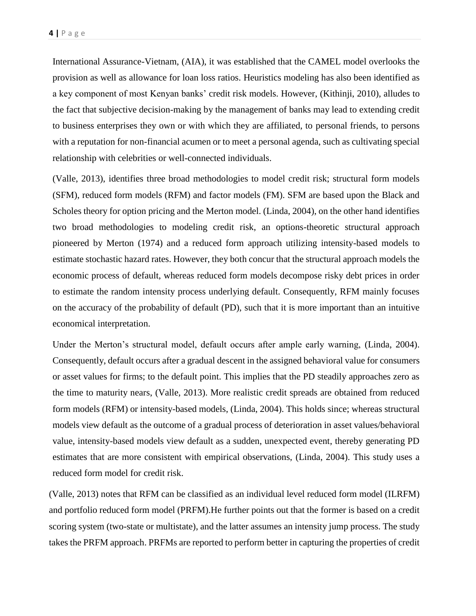International Assurance-Vietnam, (AIA), it was established that the CAMEL model overlooks the provision as well as allowance for loan loss ratios. Heuristics modeling has also been identified as a key component of most Kenyan banks' credit risk models. However, (Kithinji, 2010), alludes to the fact that subjective decision-making by the management of banks may lead to extending credit to business enterprises they own or with which they are affiliated, to personal friends, to persons with a reputation for non-financial acumen or to meet a personal agenda, such as cultivating special relationship with celebrities or well-connected individuals.

(Valle, 2013), identifies three broad methodologies to model credit risk; structural form models (SFM), reduced form models (RFM) and factor models (FM). SFM are based upon the Black and Scholes theory for option pricing and the Merton model. (Linda, 2004), on the other hand identifies two broad methodologies to modeling credit risk, an options-theoretic structural approach pioneered by Merton (1974) and a reduced form approach utilizing intensity-based models to estimate stochastic hazard rates. However, they both concur that the structural approach models the economic process of default, whereas reduced form models decompose risky debt prices in order to estimate the random intensity process underlying default. Consequently, RFM mainly focuses on the accuracy of the probability of default (PD), such that it is more important than an intuitive economical interpretation.

Under the Merton's structural model, default occurs after ample early warning, (Linda, 2004). Consequently, default occurs after a gradual descent in the assigned behavioral value for consumers or asset values for firms; to the default point. This implies that the PD steadily approaches zero as the time to maturity nears, (Valle, 2013). More realistic credit spreads are obtained from reduced form models (RFM) or intensity-based models, (Linda, 2004). This holds since; whereas structural models view default as the outcome of a gradual process of deterioration in asset values/behavioral value, intensity-based models view default as a sudden, unexpected event, thereby generating PD estimates that are more consistent with empirical observations, (Linda, 2004). This study uses a reduced form model for credit risk.

(Valle, 2013) notes that RFM can be classified as an individual level reduced form model (ILRFM) and portfolio reduced form model (PRFM).He further points out that the former is based on a credit scoring system (two-state or multistate), and the latter assumes an intensity jump process. The study takes the PRFM approach. PRFMs are reported to perform better in capturing the properties of credit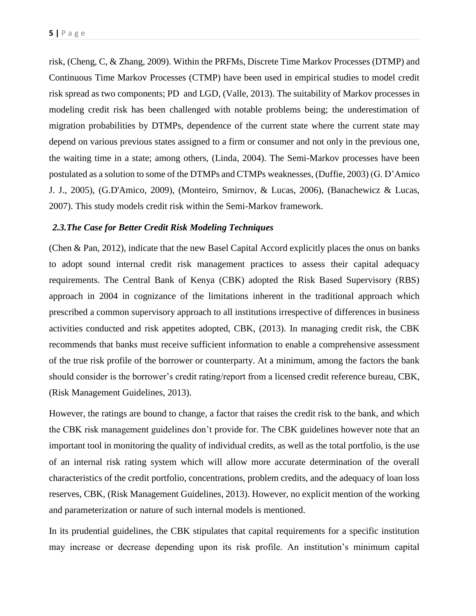risk, (Cheng, C, & Zhang, 2009). Within the PRFMs, Discrete Time Markov Processes (DTMP) and Continuous Time Markov Processes (CTMP) have been used in empirical studies to model credit risk spread as two components; PD and LGD, (Valle, 2013). The suitability of Markov processes in modeling credit risk has been challenged with notable problems being; the underestimation of migration probabilities by DTMPs, dependence of the current state where the current state may depend on various previous states assigned to a firm or consumer and not only in the previous one, the waiting time in a state; among others, (Linda, 2004). The Semi-Markov processes have been postulated as a solution to some of the DTMPs and CTMPs weaknesses, (Duffie, 2003) (G. D'Amico J. J., 2005), (G.D'Amico, 2009), (Monteiro, Smirnov, & Lucas, 2006), (Banachewicz & Lucas, 2007). This study models credit risk within the Semi-Markov framework.

#### *2.3.The Case for Better Credit Risk Modeling Techniques*

(Chen & Pan, 2012), indicate that the new Basel Capital Accord explicitly places the onus on banks to adopt sound internal credit risk management practices to assess their capital adequacy requirements. The Central Bank of Kenya (CBK) adopted the Risk Based Supervisory (RBS) approach in 2004 in cognizance of the limitations inherent in the traditional approach which prescribed a common supervisory approach to all institutions irrespective of differences in business activities conducted and risk appetites adopted, CBK, (2013). In managing credit risk, the CBK recommends that banks must receive sufficient information to enable a comprehensive assessment of the true risk profile of the borrower or counterparty. At a minimum, among the factors the bank should consider is the borrower's credit rating/report from a licensed credit reference bureau, CBK, (Risk Management Guidelines, 2013).

However, the ratings are bound to change, a factor that raises the credit risk to the bank, and which the CBK risk management guidelines don't provide for. The CBK guidelines however note that an important tool in monitoring the quality of individual credits, as well as the total portfolio, is the use of an internal risk rating system which will allow more accurate determination of the overall characteristics of the credit portfolio, concentrations, problem credits, and the adequacy of loan loss reserves, CBK, (Risk Management Guidelines, 2013). However, no explicit mention of the working and parameterization or nature of such internal models is mentioned.

In its prudential guidelines, the CBK stipulates that capital requirements for a specific institution may increase or decrease depending upon its risk profile. An institution's minimum capital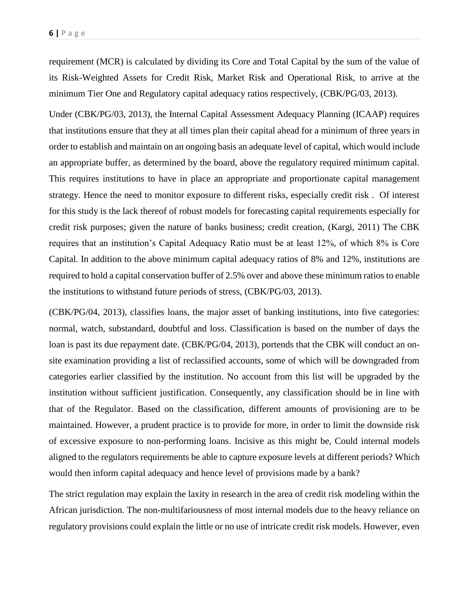requirement (MCR) is calculated by dividing its Core and Total Capital by the sum of the value of its Risk-Weighted Assets for Credit Risk, Market Risk and Operational Risk, to arrive at the minimum Tier One and Regulatory capital adequacy ratios respectively, (CBK/PG/03, 2013).

Under (CBK/PG/03, 2013), the Internal Capital Assessment Adequacy Planning (ICAAP) requires that institutions ensure that they at all times plan their capital ahead for a minimum of three years in order to establish and maintain on an ongoing basis an adequate level of capital, which would include an appropriate buffer, as determined by the board, above the regulatory required minimum capital. This requires institutions to have in place an appropriate and proportionate capital management strategy. Hence the need to monitor exposure to different risks, especially credit risk . Of interest for this study is the lack thereof of robust models for forecasting capital requirements especially for credit risk purposes; given the nature of banks business; credit creation, (Kargi, 2011) The CBK requires that an institution's Capital Adequacy Ratio must be at least 12%, of which 8% is Core Capital. In addition to the above minimum capital adequacy ratios of 8% and 12%, institutions are required to hold a capital conservation buffer of 2.5% over and above these minimum ratios to enable the institutions to withstand future periods of stress, (CBK/PG/03, 2013).

(CBK/PG/04, 2013), classifies loans, the major asset of banking institutions, into five categories: normal, watch, substandard, doubtful and loss. Classification is based on the number of days the loan is past its due repayment date. (CBK/PG/04, 2013), portends that the CBK will conduct an onsite examination providing a list of reclassified accounts, some of which will be downgraded from categories earlier classified by the institution. No account from this list will be upgraded by the institution without sufficient justification. Consequently, any classification should be in line with that of the Regulator. Based on the classification, different amounts of provisioning are to be maintained. However, a prudent practice is to provide for more, in order to limit the downside risk of excessive exposure to non-performing loans. Incisive as this might be, Could internal models aligned to the regulators requirements be able to capture exposure levels at different periods? Which would then inform capital adequacy and hence level of provisions made by a bank?

The strict regulation may explain the laxity in research in the area of credit risk modeling within the African jurisdiction. The non-multifariousness of most internal models due to the heavy reliance on regulatory provisions could explain the little or no use of intricate credit risk models. However, even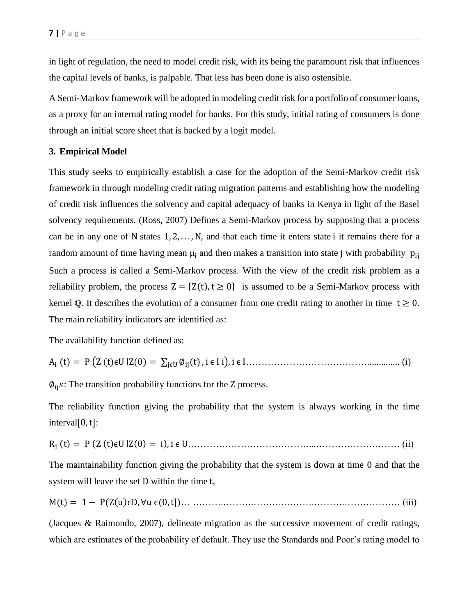in light of regulation, the need to model credit risk, with its being the paramount risk that influences the capital levels of banks, is palpable. That less has been done is also ostensible.

A Semi-Markov framework will be adopted in modeling credit risk for a portfolio of consumer loans, as a proxy for an internal rating model for banks. For this study, initial rating of consumers is done through an initial score sheet that is backed by a logit model.

#### **3. Empirical Model**

This study seeks to empirically establish a case for the adoption of the Semi-Markov credit risk framework in through modeling credit rating migration patterns and establishing how the modeling of credit risk influences the solvency and capital adequacy of banks in Kenya in light of the Basel solvency requirements. (Ross, 2007) Defines a Semi-Markov process by supposing that a process can be in any one of N states  $1, 2, \ldots, N$ , and that each time it enters state i it remains there for a random amount of time having mean  $\mu_i$  and then makes a transition into state j with probability  $p_{ii}$ Such a process is called a Semi-Markov process. With the view of the credit risk problem as a reliability problem, the process  $Z = \{Z(t), t \ge 0\}$  is assumed to be a Semi-Markov process with kernel Q. It describes the evolution of a consumer from one credit rating to another in time  $t \ge 0$ . The main reliability indicators are identified as:

The availability function defined as:

$$
A_i(t) = P(Z(t)\epsilon U | Z(0) = \sum_{j\in U} \phi_{ij}(t), i \in I i), i \in I
$$

 $\phi_{ii}$ s: The transition probability functions for the Z process.

The reliability function giving the probability that the system is always working in the time  $interval[0, t]$ :

Ri (t) = P (Z (t)ϵU ǀZ(0) = i), i ϵ U…………………………………...……………………… (ii)

The maintainability function giving the probability that the system is down at time 0 and that the system will leave the set D within the time t,

$$
M(t) = 1 - P(Z(u)\epsilon D, \forall u \epsilon(0, t])
$$
...  $\dots$ ...  $\dots$ ...  $\dots$  (iii)

(Jacques & Raimondo, 2007), delineate migration as the successive movement of credit ratings, which are estimates of the probability of default. They use the Standards and Poor's rating model to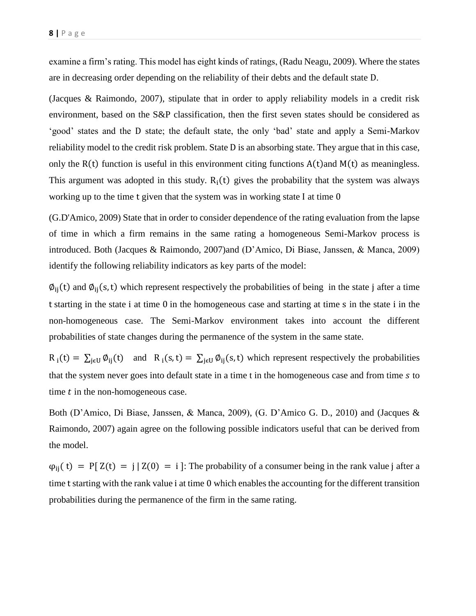examine a firm's rating. This model has eight kinds of ratings, (Radu Neagu, 2009). Where the states are in decreasing order depending on the reliability of their debts and the default state D.

(Jacques & Raimondo, 2007), stipulate that in order to apply reliability models in a credit risk environment, based on the S&P classification, then the first seven states should be considered as 'good' states and the D state; the default state, the only 'bad' state and apply a Semi-Markov reliability model to the credit risk problem. State D is an absorbing state. They argue that in this case, only the  $R(t)$  function is useful in this environment citing functions  $A(t)$  and  $M(t)$  as meaningless. This argument was adopted in this study.  $R_i(t)$  gives the probability that the system was always working up to the time t given that the system was in working state I at time 0

(G.D'Amico, 2009) State that in order to consider dependence of the rating evaluation from the lapse of time in which a firm remains in the same rating a homogeneous Semi-Markov process is introduced. Both (Jacques & Raimondo, 2007)and (D'Amico, Di Biase, Janssen, & Manca, 2009) identify the following reliability indicators as key parts of the model:

 $\varphi_{ii}(t)$  and  $\varphi_{ii}(s,t)$  which represent respectively the probabilities of being in the state j after a time t starting in the state i at time 0 in the homogeneous case and starting at time s in the state i in the non-homogeneous case. The Semi-Markov environment takes into account the different probabilities of state changes during the permanence of the system in the same state.

 $R_i(t) = \sum_{j \in U} \phi_{ij}(t)$  and  $R_i(s,t) = \sum_{j \in U} \phi_{ij}(s,t)$  which represent respectively the probabilities that the system never goes into default state in a time t in the homogeneous case and from time s to time  $t$  in the non-homogeneous case.

Both (D'Amico, Di Biase, Janssen, & Manca, 2009), (G. D'Amico G. D., 2010) and (Jacques & Raimondo, 2007) again agree on the following possible indicators useful that can be derived from the model.

 $\varphi_{ii}(t) = P[X(t) = j | Z(0) = i]$ : The probability of a consumer being in the rank value j after a time t starting with the rank value i at time 0 which enables the accounting for the different transition probabilities during the permanence of the firm in the same rating.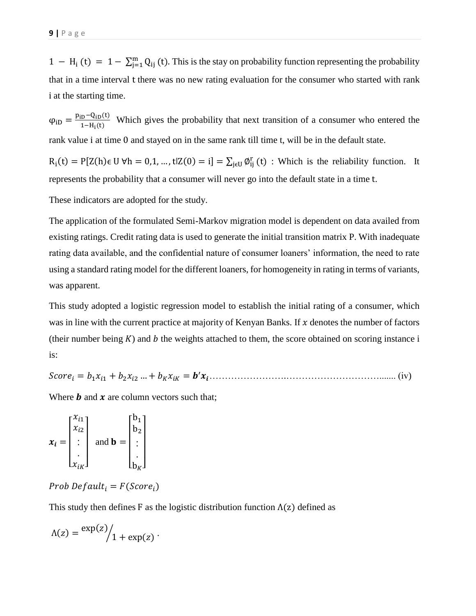$1 - H_i(t) = 1 - \sum_{j=1}^{m} Q_{ij}(t)$ . This is the stay on probability function representing the probability that in a time interval t there was no new rating evaluation for the consumer who started with rank i at the starting time.

 $\varphi_{\text{iD}} = \frac{p_{\text{iD}} - Q_{\text{iD}}(t)}{1 - H \cdot (t)}$  $\frac{1-\text{Li}_D(t)}{1-\text{H}_1(t)}$  Which gives the probability that next transition of a consumer who entered the rank value i at time 0 and stayed on in the same rank till time t, will be in the default state.

 $R_i(t) = P[Z(h)\epsilon \cup \forall h = 0,1,...,t|Z(0) = i] = \sum_{j \in U} \phi_{ij}^r(t)$ : Which is the reliability function. It represents the probability that a consumer will never go into the default state in a time t.

These indicators are adopted for the study.

The application of the formulated Semi-Markov migration model is dependent on data availed from existing ratings. Credit rating data is used to generate the initial transition matrix P. With inadequate rating data available, and the confidential nature of consumer loaners' information, the need to rate using a standard rating model for the different loaners, for homogeneity in rating in terms of variants, was apparent.

This study adopted a logistic regression model to establish the initial rating of a consumer, which was in line with the current practice at majority of Kenyan Banks. If  $x$  denotes the number of factors (their number being  $K$ ) and  $b$  the weights attached to them, the score obtained on scoring instance i is:

Score<sub>i</sub> =  $b_1 x_{i1} + b_2 x_{i2} + \ldots + b_K x_{iK} = b' x_i + \ldots + b_K x_{iK}$ 

Where  $\boldsymbol{b}$  and  $\boldsymbol{x}$  are column vectors such that;

$$
\boldsymbol{x}_i = \begin{bmatrix} x_{i1} \\ x_{i2} \\ \vdots \\ x_{iK} \end{bmatrix} \text{ and } \mathbf{b} = \begin{bmatrix} b_1 \\ b_2 \\ \vdots \\ b_K \end{bmatrix}
$$

### Prob Default<sub>i</sub> =  $F(Score_i)$

This study then defines F as the logistic distribution function  $\Lambda(z)$  defined as

$$
\Lambda(z) = \frac{\exp(z)}{1 + \exp(z)}.
$$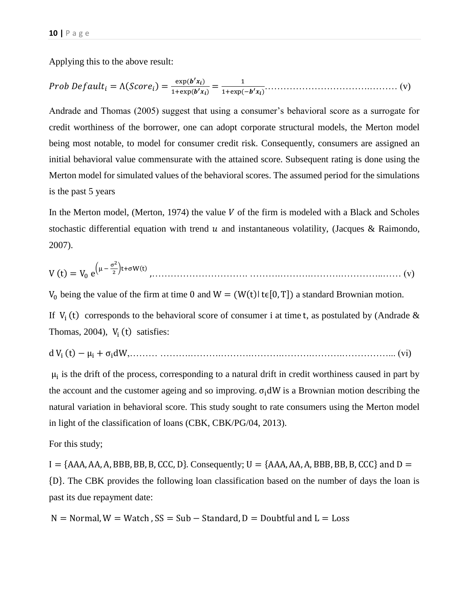Applying this to the above result:

 = Λ( ) = exp( ′) 1+exp(′) = 1 1+exp(−′)…………………………….……… (v)

Andrade and Thomas (2005) suggest that using a consumer's behavioral score as a surrogate for credit worthiness of the borrower, one can adopt corporate structural models, the Merton model being most notable, to model for consumer credit risk. Consequently, consumers are assigned an initial behavioral value commensurate with the attained score. Subsequent rating is done using the Merton model for simulated values of the behavioral scores. The assumed period for the simulations is the past 5 years

In the Merton model, (Merton, 1974) the value  $V$  of the firm is modeled with a Black and Scholes stochastic differential equation with trend  $u$  and instantaneous volatility, (Jacques & Raimondo, 2007).

$$
V(t) = V_0 e^{\left(\mu - \frac{\sigma^2}{2}\right)t + \sigma W(t)},
$$
 (v)

 $V_0$  being the value of the firm at time 0 and  $W = (W(t) | t \in [0, T])$  a standard Brownian motion.

If  $V_i(t)$  corresponds to the behavioral score of consumer i at time t, as postulated by (Andrade & Thomas, 2004),  $V_i(t)$  satisfies:

d  $V_i(t) - \mu_i + \sigma_i dW,$  (vi)

 $\mu_i$  is the drift of the process, corresponding to a natural drift in credit worthiness caused in part by the account and the customer ageing and so improving.  $\sigma_i dW$  is a Brownian motion describing the natural variation in behavioral score. This study sought to rate consumers using the Merton model in light of the classification of loans (CBK, CBK/PG/04, 2013).

For this study;

 $I = \{AAA, AA, A, BBB, BB, B, CCC, D\}$ . Consequently;  $U = \{AAA, AA, A, BBB, BB, B, CCC\}$  and  $D =$ {D}. The CBK provides the following loan classification based on the number of days the loan is past its due repayment date:

 $N =$  Normal,  $W =$  Watch,  $SS = Sub - Standard$ ,  $D =$  Doubtful and  $L =$  Loss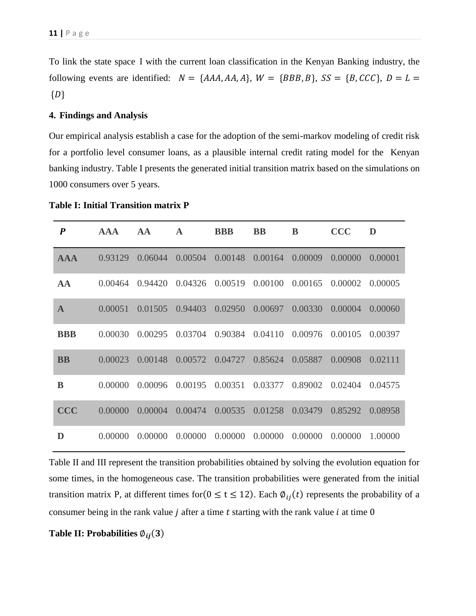To link the state space I with the current loan classification in the Kenyan Banking industry, the following events are identified:  $N = \{AAA, AA, A\}$ ,  $W = \{BBB, B\}$ ,  $SS = \{B, CCC\}$ ,  $D = L =$  ${D}$ 

#### **4. Findings and Analysis**

Our empirical analysis establish a case for the adoption of the semi-markov modeling of credit risk for a portfolio level consumer loans, as a plausible internal credit rating model for the Kenyan banking industry. Table I presents the generated initial transition matrix based on the simulations on 1000 consumers over 5 years.

| $\boldsymbol{P}$ | <b>AAA</b> | AA      | $\mathbf{A}$ | <b>BBB</b> | <b>BB</b> | B       | <b>CCC</b> | D       |
|------------------|------------|---------|--------------|------------|-----------|---------|------------|---------|
| <b>AAA</b>       | 0.93129    | 0.06044 | 0.00504      | 0.00148    | 0.00164   | 0.00009 | 0.00000    | 0.00001 |
| AA               | 0.00464    | 0.94420 | 0.04326      | 0.00519    | 0.00100   | 0.00165 | 0.00002    | 0.00005 |
| $\mathbf{A}$     | 0.00051    | 0.01505 | 0.94403      | 0.02950    | 0.00697   | 0.00330 | 0.00004    | 0.00060 |
| <b>BBB</b>       | 0.00030    | 0.00295 | 0.03704      | 0.90384    | 0.04110   | 0.00976 | 0.00105    | 0.00397 |
| <b>BB</b>        | 0.00023    | 0.00148 | 0.00572      | 0.04727    | 0.85624   | 0.05887 | 0.00908    | 0.02111 |
| B                | 0.00000    | 0.00096 | 0.00195      | 0.00351    | 0.03377   | 0.89002 | 0.02404    | 0.04575 |
| <b>CCC</b>       | 0.00000    | 0.00004 | 0.00474      | 0.00535    | 0.01258   | 0.03479 | 0.85292    | 0.08958 |
| D                | 0.00000    | 0.00000 | 0.00000      | 0.00000    | 0.00000   | 0.00000 | 0.00000    | 1.00000 |

**Table I: Initial Transition matrix P**

Table II and III represent the transition probabilities obtained by solving the evolution equation for some times, in the homogeneous case. The transition probabilities were generated from the initial transition matrix P, at different times for  $(0 \le t \le 12)$ . Each  $\phi_{ij}(t)$  represents the probability of a consumer being in the rank value  $j$  after a time  $t$  starting with the rank value  $i$  at time  $0$ 

**Table II: Probabilities**  $\varphi_{ij}(3)$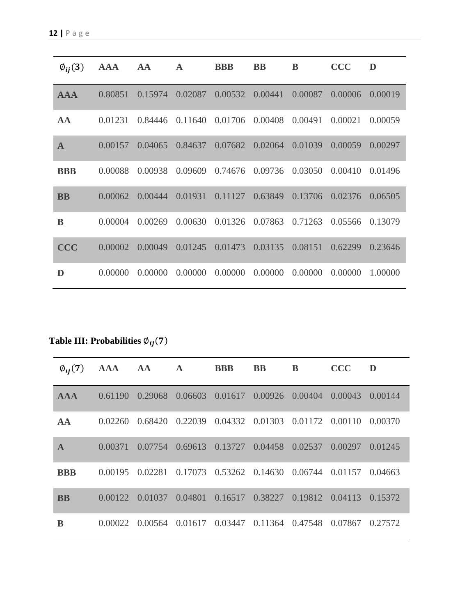| $\phi_{ij}(3)$ | <b>AAA</b> | AA      | $\mathbf A$ | <b>BBB</b> | <b>BB</b> | B       | <b>CCC</b> | D       |
|----------------|------------|---------|-------------|------------|-----------|---------|------------|---------|
| <b>AAA</b>     | 0.80851    | 0.15974 | 0.02087     | 0.00532    | 0.00441   | 0.00087 | 0.00006    | 0.00019 |
| AA             | 0.01231    | 0.84446 | 0.11640     | 0.01706    | 0.00408   | 0.00491 | 0.00021    | 0.00059 |
| $\mathbf{A}$   | 0.00157    | 0.04065 | 0.84637     | 0.07682    | 0.02064   | 0.01039 | 0.00059    | 0.00297 |
| <b>BBB</b>     | 0.00088    | 0.00938 | 0.09609     | 0.74676    | 0.09736   | 0.03050 | 0.00410    | 0.01496 |
| <b>BB</b>      | 0.00062    | 0.00444 | 0.01931     | 0.11127    | 0.63849   | 0.13706 | 0.02376    | 0.06505 |
| B              | 0.00004    | 0.00269 | 0.00630     | 0.01326    | 0.07863   | 0.71263 | 0.05566    | 0.13079 |
| <b>CCC</b>     | 0.00002    | 0.00049 | 0.01245     | 0.01473    | 0.03135   | 0.08151 | 0.62299    | 0.23646 |
| D              | 0.00000    | 0.00000 | 0.00000     | 0.00000    | 0.00000   | 0.00000 | 0.00000    | 1.00000 |

**Table III: Probabilities**  $\varphi_{ij}(7)$ 

| $\emptyset_{ij}(7)$ | AAA AA  |                 | $\mathbf{A}$ | <b>BBB</b> | <b>BB</b>                                       | B | <b>CCC</b> | D       |
|---------------------|---------|-----------------|--------------|------------|-------------------------------------------------|---|------------|---------|
| <b>AAA</b>          | 0.61190 | 0.29068         |              |            | $0.06603$ $0.01617$ $0.00926$ $0.00404$         |   | 0.00043    | 0.00144 |
| AA                  | 0.02260 | 0.68420         |              |            | 0.22039 0.04332 0.01303 0.01172 0.00110 0.00370 |   |            |         |
| $\mathbf{A}$        | 0.00371 |                 |              |            | 0.07754 0.69613 0.13727 0.04458 0.02537         |   | 0.00297    | 0.01245 |
| <b>BBB</b>          |         | 0.00195 0.02281 |              |            | $0.17073$ $0.53262$ $0.14630$ $0.06744$         |   | 0.01157    | 0.04663 |
| <b>BB</b>           | 0.00122 | 0.01037         |              |            | 0.04801 0.16517 0.38227 0.19812 0.04113         |   |            | 0.15372 |
| B                   | 0.00022 |                 |              |            | 0.00564 0.01617 0.03447 0.11364 0.47548         |   | 0.07867    | 0.27572 |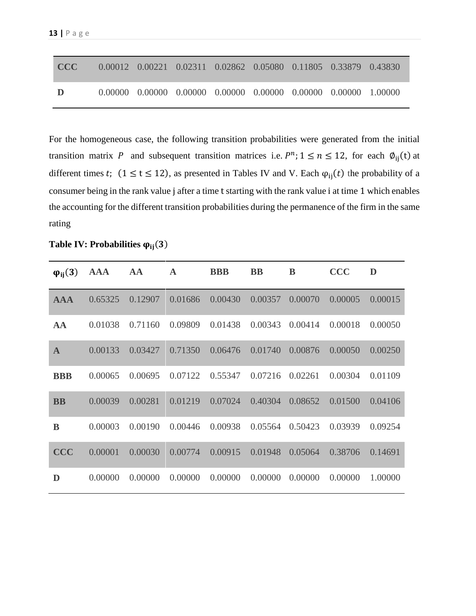| CCC - |  | 0.00012 0.00221 0.02311 0.02862 0.05080 0.11805 0.33879 0.43830                 |  |  |
|-------|--|---------------------------------------------------------------------------------|--|--|
|       |  | $0.00000$ $0.00000$ $0.00000$ $0.00000$ $0.00000$ $0.00000$ $0.00000$ $1.00000$ |  |  |

For the homogeneous case, the following transition probabilities were generated from the initial transition matrix P and subsequent transition matrices i.e.  $P^n$ ;  $1 \le n \le 12$ , for each  $\phi_{ij}(t)$  at different times t;  $(1 \le t \le 12)$ , as presented in Tables IV and V. Each  $\varphi_{ij}(t)$  the probability of a consumer being in the rank value j after a time t starting with the rank value i at time 1 which enables the accounting for the different transition probabilities during the permanence of the firm in the same rating

Table IV: Probabilities  $\varphi_{ii}(3)$ 

| $\varphi_{ii}(3)$ | <b>AAA</b> | AA      | $\mathbf A$ | <b>BBB</b> | <b>BB</b> | B       | <b>CCC</b> | D       |
|-------------------|------------|---------|-------------|------------|-----------|---------|------------|---------|
| <b>AAA</b>        | 0.65325    | 0.12907 | 0.01686     | 0.00430    | 0.00357   | 0.00070 | 0.00005    | 0.00015 |
| AA                | 0.01038    | 0.71160 | 0.09809     | 0.01438    | 0.00343   | 0.00414 | 0.00018    | 0.00050 |
| $\mathbf{A}$      | 0.00133    | 0.03427 | 0.71350     | 0.06476    | 0.01740   | 0.00876 | 0.00050    | 0.00250 |
| <b>BBB</b>        | 0.00065    | 0.00695 | 0.07122     | 0.55347    | 0.07216   | 0.02261 | 0.00304    | 0.01109 |
| <b>BB</b>         | 0.00039    | 0.00281 | 0.01219     | 0.07024    | 0.40304   | 0.08652 | 0.01500    | 0.04106 |
| B                 | 0.00003    | 0.00190 | 0.00446     | 0.00938    | 0.05564   | 0.50423 | 0.03939    | 0.09254 |
| <b>CCC</b>        | 0.00001    | 0.00030 | 0.00774     | 0.00915    | 0.01948   | 0.05064 | 0.38706    | 0.14691 |
| D                 | 0.00000    | 0.00000 | 0.00000     | 0.00000    | 0.00000   | 0.00000 | 0.00000    | 1.00000 |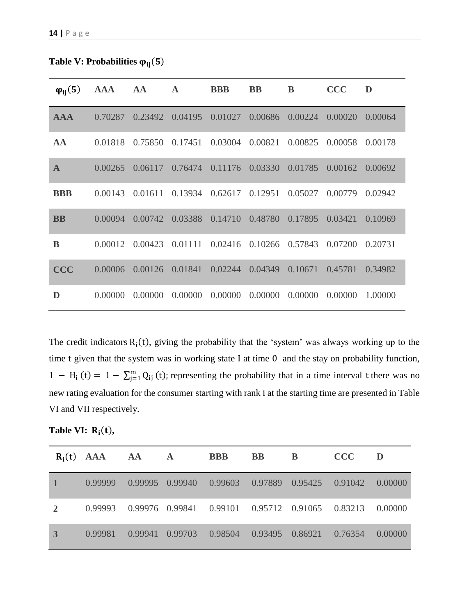Table V: Probabilities  $\varphi_{ij}(5)$ 

| $\varphi_{ii}(5)$ | <b>AAA</b> | AA      | $\mathbf{A}$ | <b>BBB</b> | <b>BB</b> | B       | <b>CCC</b> | D       |
|-------------------|------------|---------|--------------|------------|-----------|---------|------------|---------|
| <b>AAA</b>        | 0.70287    | 0.23492 | 0.04195      | 0.01027    | 0.00686   | 0.00224 | 0.00020    | 0.00064 |
| AA                | 0.01818    | 0.75850 | 0.17451      | 0.03004    | 0.00821   | 0.00825 | 0.00058    | 0.00178 |
| $\mathbf{A}$      | 0.00265    | 0.06117 | 0.76474      | 0.11176    | 0.03330   | 0.01785 | 0.00162    | 0.00692 |
| <b>BBB</b>        | 0.00143    | 0.01611 | 0.13934      | 0.62617    | 0.12951   | 0.05027 | 0.00779    | 0.02942 |
| <b>BB</b>         | 0.00094    | 0.00742 | 0.03388      | 0.14710    | 0.48780   | 0.17895 | 0.03421    | 0.10969 |
| B                 | 0.00012    | 0.00423 | 0.01111      | 0.02416    | 0.10266   | 0.57843 | 0.07200    | 0.20731 |
| <b>CCC</b>        | 0.00006    | 0.00126 | 0.01841      | 0.02244    | 0.04349   | 0.10671 | 0.45781    | 0.34982 |
| D                 | 0.00000    | 0.00000 | 0.00000      | 0.00000    | 0.00000   | 0.00000 | 0.00000    | 1.00000 |

The credit indicators  $R_i(t)$ , giving the probability that the 'system' was always working up to the time t given that the system was in working state I at time 0 and the stay on probability function,  $1 - H_i$  (t) =  $1 - \sum_{j=1}^{m} Q_{ij}$  (t); representing the probability that in a time interval t there was no new rating evaluation for the consumer starting with rank i at the starting time are presented in Table VI and VII respectively.

Table VI:  $R_i(t)$ ,

|              | $R_i(t)$ AAA AA |                 | $\mathbf{A}$ | <b>BBB</b>                      | <b>BB</b> | B | CCC                                                     | D       |
|--------------|-----------------|-----------------|--------------|---------------------------------|-----------|---|---------------------------------------------------------|---------|
|              | 0.99999         |                 |              |                                 |           |   | 0.99995 0.99940 0.99603 0.97889 0.95425 0.91042 0.00000 |         |
| <sup>2</sup> | 0.99993         |                 |              |                                 |           |   | 0.99976 0.99841 0.99101 0.95712 0.91065 0.83213 0.00000 |         |
| 3            | 0.99981         | 0.99941 0.99703 |              | 0.98504 0.93495 0.86921 0.76354 |           |   |                                                         | 0.00000 |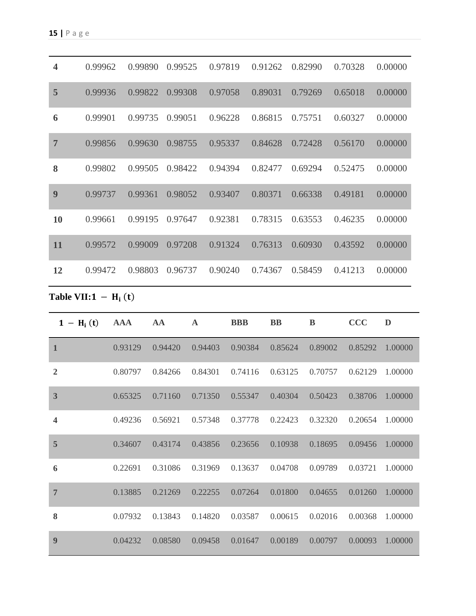| $\overline{\mathbf{4}}$ | 0.99962 | 0.99890 | 0.99525 | 0.97819 | 0.91262 | 0.82990 | 0.70328 | 0.00000 |
|-------------------------|---------|---------|---------|---------|---------|---------|---------|---------|
| 5                       | 0.99936 | 0.99822 | 0.99308 | 0.97058 | 0.89031 | 0.79269 | 0.65018 | 0.00000 |
| 6                       | 0.99901 | 0.99735 | 0.99051 | 0.96228 | 0.86815 | 0.75751 | 0.60327 | 0.00000 |
| $\overline{7}$          | 0.99856 | 0.99630 | 0.98755 | 0.95337 | 0.84628 | 0.72428 | 0.56170 | 0.00000 |
| 8                       | 0.99802 | 0.99505 | 0.98422 | 0.94394 | 0.82477 | 0.69294 | 0.52475 | 0.00000 |
| 9                       | 0.99737 | 0.99361 | 0.98052 | 0.93407 | 0.80371 | 0.66338 | 0.49181 | 0.00000 |
| <b>10</b>               | 0.99661 | 0.99195 | 0.97647 | 0.92381 | 0.78315 | 0.63553 | 0.46235 | 0.00000 |
| 11                      | 0.99572 | 0.99009 | 0.97208 | 0.91324 | 0.76313 | 0.60930 | 0.43592 | 0.00000 |
| 12                      | 0.99472 | 0.98803 | 0.96737 | 0.90240 | 0.74367 | 0.58459 | 0.41213 | 0.00000 |

**Table VII:**  $1 - H_i(t)$ 

| $1 - H_i(t)$            | <b>AAA</b> | AA      | $\mathbf A$ | <b>BBB</b> | <b>BB</b> | B       | <b>CCC</b> | D       |
|-------------------------|------------|---------|-------------|------------|-----------|---------|------------|---------|
| $\mathbf{1}$            | 0.93129    | 0.94420 | 0.94403     | 0.90384    | 0.85624   | 0.89002 | 0.85292    | 1.00000 |
| $\overline{2}$          | 0.80797    | 0.84266 | 0.84301     | 0.74116    | 0.63125   | 0.70757 | 0.62129    | 1.00000 |
| $\overline{\mathbf{3}}$ | 0.65325    | 0.71160 | 0.71350     | 0.55347    | 0.40304   | 0.50423 | 0.38706    | 1.00000 |
| $\overline{\mathbf{4}}$ | 0.49236    | 0.56921 | 0.57348     | 0.37778    | 0.22423   | 0.32320 | 0.20654    | 1.00000 |
| 5                       | 0.34607    | 0.43174 | 0.43856     | 0.23656    | 0.10938   | 0.18695 | 0.09456    | 1.00000 |
| 6                       | 0.22691    | 0.31086 | 0.31969     | 0.13637    | 0.04708   | 0.09789 | 0.03721    | 1.00000 |
| $\overline{7}$          | 0.13885    | 0.21269 | 0.22255     | 0.07264    | 0.01800   | 0.04655 | 0.01260    | 1.00000 |
| 8                       | 0.07932    | 0.13843 | 0.14820     | 0.03587    | 0.00615   | 0.02016 | 0.00368    | 1.00000 |
| 9                       | 0.04232    | 0.08580 | 0.09458     | 0.01647    | 0.00189   | 0.00797 | 0.00093    | 1.00000 |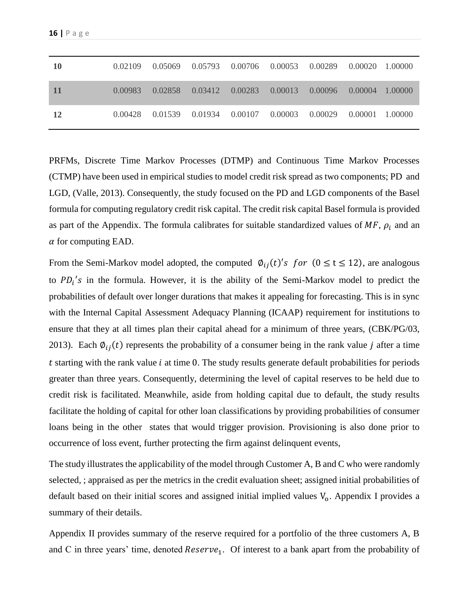| 10 | 0.02109 | 0.05069 | 0.05793 0.00706 0.00053 0.00289 |                     |         | $0.00020 - 1.00000$ |  |
|----|---------|---------|---------------------------------|---------------------|---------|---------------------|--|
| 11 | 0.00983 | 0.02858 | 0.03412                         | $0.00283$ $0.00013$ | 0.00096 | $0.00004$ 1.00000   |  |
| 12 | 0.00428 | 0.01539 | 0.01934                         | 0.00107 0.00003     | 0.00029 | 0.00001 1.00000     |  |

PRFMs, Discrete Time Markov Processes (DTMP) and Continuous Time Markov Processes (CTMP) have been used in empirical studies to model credit risk spread as two components; PD and LGD, (Valle, 2013). Consequently, the study focused on the PD and LGD components of the Basel formula for computing regulatory credit risk capital. The credit risk capital Basel formula is provided as part of the Appendix. The formula calibrates for suitable standardized values of  $MF$ ,  $\rho_i$  and an  $\alpha$  for computing EAD.

From the Semi-Markov model adopted, the computed  $\varphi_{ij}(t)$ 's for  $(0 \le t \le 12)$ , are analogous to  $PD_i$ 's in the formula. However, it is the ability of the Semi-Markov model to predict the probabilities of default over longer durations that makes it appealing for forecasting. This is in sync with the Internal Capital Assessment Adequacy Planning (ICAAP) requirement for institutions to ensure that they at all times plan their capital ahead for a minimum of three years, (CBK/PG/03, 2013). Each  $\varphi_{ij}(t)$  represents the probability of a consumer being in the rank value *j* after a time  $t$  starting with the rank value  $i$  at time 0. The study results generate default probabilities for periods greater than three years. Consequently, determining the level of capital reserves to be held due to credit risk is facilitated. Meanwhile, aside from holding capital due to default, the study results facilitate the holding of capital for other loan classifications by providing probabilities of consumer loans being in the other states that would trigger provision. Provisioning is also done prior to occurrence of loss event, further protecting the firm against delinquent events,

The study illustrates the applicability of the model through Customer A, B and C who were randomly selected, ; appraised as per the metrics in the credit evaluation sheet; assigned initial probabilities of default based on their initial scores and assigned initial implied values  $V<sub>o</sub>$ . Appendix I provides a summary of their details.

Appendix II provides summary of the reserve required for a portfolio of the three customers A, B and C in three years' time, denoted  $Reserve_1$ . Of interest to a bank apart from the probability of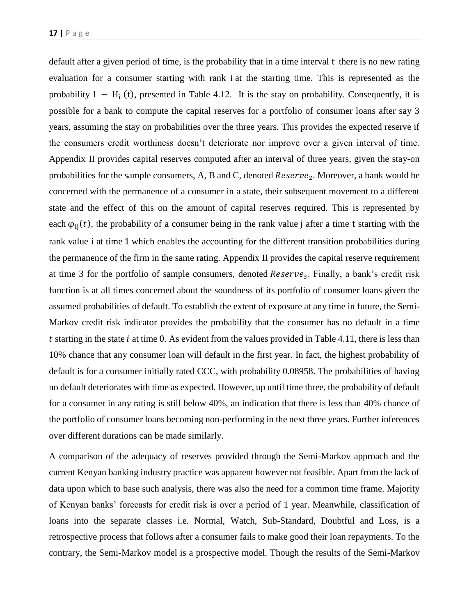default after a given period of time, is the probability that in a time interval t there is no new rating evaluation for a consumer starting with rank i at the starting time. This is represented as the probability  $1 - H_i(t)$ , presented in Table 4.12. It is the stay on probability. Consequently, it is possible for a bank to compute the capital reserves for a portfolio of consumer loans after say 3 years, assuming the stay on probabilities over the three years. This provides the expected reserve if the consumers credit worthiness doesn't deteriorate nor improve over a given interval of time. Appendix II provides capital reserves computed after an interval of three years, given the stay-on probabilities for the sample consumers, A, B and C, denoted  $Reserve_2$ . Moreover, a bank would be concerned with the permanence of a consumer in a state, their subsequent movement to a different state and the effect of this on the amount of capital reserves required. This is represented by each  $\varphi_{ii}(t)$ , the probability of a consumer being in the rank value j after a time t starting with the rank value i at time 1 which enables the accounting for the different transition probabilities during the permanence of the firm in the same rating. Appendix II provides the capital reserve requirement at time 3 for the portfolio of sample consumers, denoted  $Reserve_3$ . Finally, a bank's credit risk function is at all times concerned about the soundness of its portfolio of consumer loans given the assumed probabilities of default. To establish the extent of exposure at any time in future, the Semi-Markov credit risk indicator provides the probability that the consumer has no default in a time t starting in the state  $i$  at time 0. As evident from the values provided in Table 4.11, there is less than 10% chance that any consumer loan will default in the first year. In fact, the highest probability of default is for a consumer initially rated CCC, with probability 0.08958. The probabilities of having no default deteriorates with time as expected. However, up until time three, the probability of default for a consumer in any rating is still below 40%, an indication that there is less than 40% chance of the portfolio of consumer loans becoming non-performing in the next three years. Further inferences over different durations can be made similarly.

A comparison of the adequacy of reserves provided through the Semi-Markov approach and the current Kenyan banking industry practice was apparent however not feasible. Apart from the lack of data upon which to base such analysis, there was also the need for a common time frame. Majority of Kenyan banks' forecasts for credit risk is over a period of 1 year. Meanwhile, classification of loans into the separate classes i.e. Normal, Watch, Sub-Standard, Doubtful and Loss, is a retrospective process that follows after a consumer fails to make good their loan repayments. To the contrary, the Semi-Markov model is a prospective model. Though the results of the Semi-Markov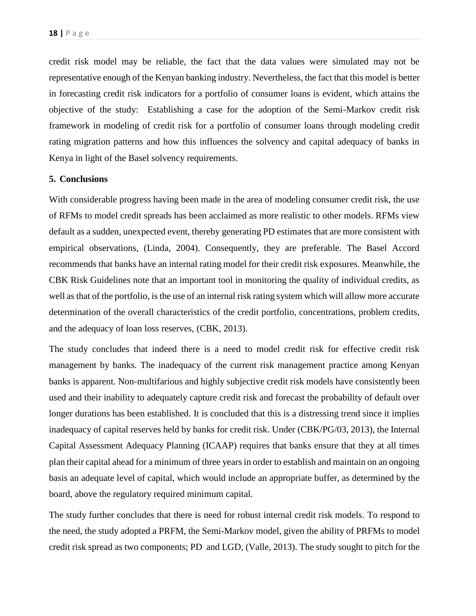credit risk model may be reliable, the fact that the data values were simulated may not be representative enough of the Kenyan banking industry. Nevertheless, the fact that this model is better in forecasting credit risk indicators for a portfolio of consumer loans is evident, which attains the objective of the study: Establishing a case for the adoption of the Semi-Markov credit risk framework in modeling of credit risk for a portfolio of consumer loans through modeling credit rating migration patterns and how this influences the solvency and capital adequacy of banks in Kenya in light of the Basel solvency requirements.

#### **5. Conclusions**

With considerable progress having been made in the area of modeling consumer credit risk, the use of RFMs to model credit spreads has been acclaimed as more realistic to other models. RFMs view default as a sudden, unexpected event, thereby generating PD estimates that are more consistent with empirical observations, (Linda, 2004). Consequently, they are preferable. The Basel Accord recommends that banks have an internal rating model for their credit risk exposures. Meanwhile, the CBK Risk Guidelines note that an important tool in monitoring the quality of individual credits, as well as that of the portfolio, is the use of an internal risk rating system which will allow more accurate determination of the overall characteristics of the credit portfolio, concentrations, problem credits, and the adequacy of loan loss reserves, (CBK, 2013).

The study concludes that indeed there is a need to model credit risk for effective credit risk management by banks. The inadequacy of the current risk management practice among Kenyan banks is apparent. Non-multifarious and highly subjective credit risk models have consistently been used and their inability to adequately capture credit risk and forecast the probability of default over longer durations has been established. It is concluded that this is a distressing trend since it implies inadequacy of capital reserves held by banks for credit risk. Under (CBK/PG/03, 2013), the Internal Capital Assessment Adequacy Planning (ICAAP) requires that banks ensure that they at all times plan their capital ahead for a minimum of three years in order to establish and maintain on an ongoing basis an adequate level of capital, which would include an appropriate buffer, as determined by the board, above the regulatory required minimum capital.

The study further concludes that there is need for robust internal credit risk models. To respond to the need, the study adopted a PRFM, the Semi-Markov model, given the ability of PRFMs to model credit risk spread as two components; PD and LGD, (Valle, 2013). The study sought to pitch for the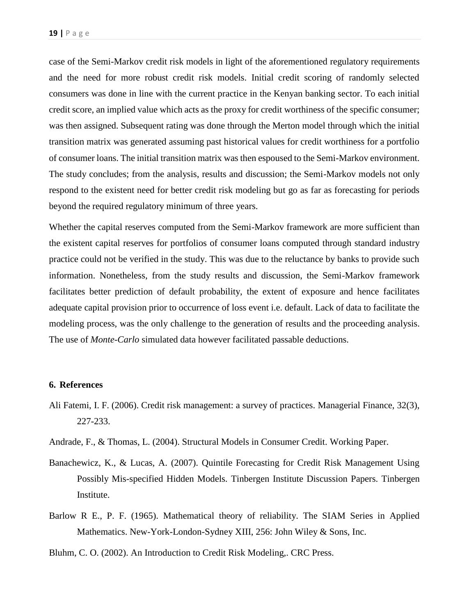case of the Semi-Markov credit risk models in light of the aforementioned regulatory requirements and the need for more robust credit risk models. Initial credit scoring of randomly selected consumers was done in line with the current practice in the Kenyan banking sector. To each initial credit score, an implied value which acts as the proxy for credit worthiness of the specific consumer; was then assigned. Subsequent rating was done through the Merton model through which the initial transition matrix was generated assuming past historical values for credit worthiness for a portfolio of consumer loans. The initial transition matrix was then espoused to the Semi-Markov environment. The study concludes; from the analysis, results and discussion; the Semi-Markov models not only respond to the existent need for better credit risk modeling but go as far as forecasting for periods beyond the required regulatory minimum of three years.

Whether the capital reserves computed from the Semi-Markov framework are more sufficient than the existent capital reserves for portfolios of consumer loans computed through standard industry practice could not be verified in the study. This was due to the reluctance by banks to provide such information. Nonetheless, from the study results and discussion, the Semi-Markov framework facilitates better prediction of default probability, the extent of exposure and hence facilitates adequate capital provision prior to occurrence of loss event i.e. default. Lack of data to facilitate the modeling process, was the only challenge to the generation of results and the proceeding analysis. The use of *Monte-Carlo* simulated data however facilitated passable deductions.

#### **6. References**

- Ali Fatemi, I. F. (2006). Credit risk management: a survey of practices. Managerial Finance, 32(3), 227-233.
- Andrade, F., & Thomas, L. (2004). Structural Models in Consumer Credit. Working Paper.
- Banachewicz, K., & Lucas, A. (2007). Quintile Forecasting for Credit Risk Management Using Possibly Mis-specified Hidden Models. Tinbergen Institute Discussion Papers. Tinbergen Institute.
- Barlow R E., P. F. (1965). Mathematical theory of reliability. The SIAM Series in Applied Mathematics. New-York-London-Sydney XIII, 256: John Wiley & Sons, Inc.
- Bluhm, C. O. (2002). An Introduction to Credit Risk Modeling,. CRC Press.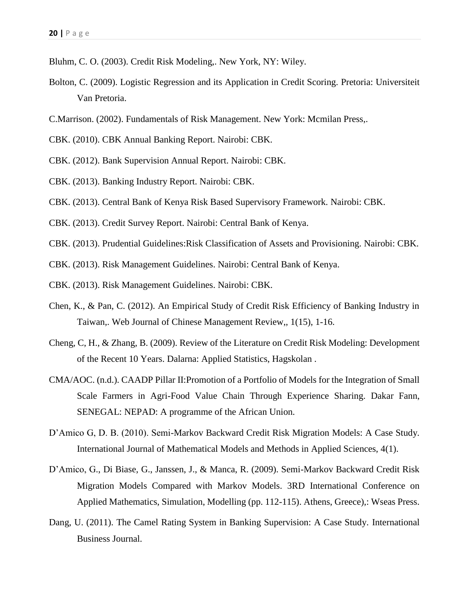- Bluhm, C. O. (2003). Credit Risk Modeling,. New York, NY: Wiley.
- Bolton, C. (2009). Logistic Regression and its Application in Credit Scoring. Pretoria: Universiteit Van Pretoria.
- C.Marrison. (2002). Fundamentals of Risk Management. New York: Mcmilan Press,.
- CBK. (2010). CBK Annual Banking Report. Nairobi: CBK.
- CBK. (2012). Bank Supervision Annual Report. Nairobi: CBK.
- CBK. (2013). Banking Industry Report. Nairobi: CBK.
- CBK. (2013). Central Bank of Kenya Risk Based Supervisory Framework. Nairobi: CBK.
- CBK. (2013). Credit Survey Report. Nairobi: Central Bank of Kenya.
- CBK. (2013). Prudential Guidelines:Risk Classification of Assets and Provisioning. Nairobi: CBK.
- CBK. (2013). Risk Management Guidelines. Nairobi: Central Bank of Kenya.
- CBK. (2013). Risk Management Guidelines. Nairobi: CBK.
- Chen, K., & Pan, C. (2012). An Empirical Study of Credit Risk Efficiency of Banking Industry in Taiwan,. Web Journal of Chinese Management Review,, 1(15), 1-16.
- Cheng, C, H., & Zhang, B. (2009). Review of the Literature on Credit Risk Modeling: Development of the Recent 10 Years. Dalarna: Applied Statistics, Hagskolan .
- CMA/AOC. (n.d.). CAADP Pillar II:Promotion of a Portfolio of Models for the Integration of Small Scale Farmers in Agri-Food Value Chain Through Experience Sharing. Dakar Fann, SENEGAL: NEPAD: A programme of the African Union.
- D'Amico G, D. B. (2010). Semi-Markov Backward Credit Risk Migration Models: A Case Study. International Journal of Mathematical Models and Methods in Applied Sciences, 4(1).
- D'Amico, G., Di Biase, G., Janssen, J., & Manca, R. (2009). Semi-Markov Backward Credit Risk Migration Models Compared with Markov Models. 3RD International Conference on Applied Mathematics, Simulation, Modelling (pp. 112-115). Athens, Greece),: Wseas Press.
- Dang, U. (2011). The Camel Rating System in Banking Supervision: A Case Study. International Business Journal.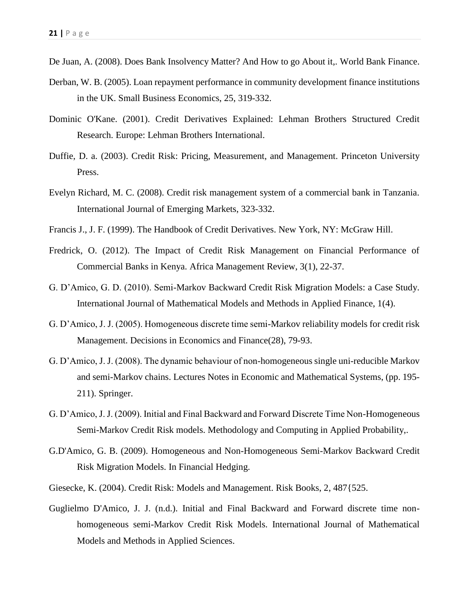- De Juan, A. (2008). Does Bank Insolvency Matter? And How to go About it,. World Bank Finance.
- Derban, W. B. (2005). Loan repayment performance in community development finance institutions in the UK. Small Business Economics, 25, 319-332.
- Dominic O'Kane. (2001). Credit Derivatives Explained: Lehman Brothers Structured Credit Research. Europe: Lehman Brothers International.
- Duffie, D. a. (2003). Credit Risk: Pricing, Measurement, and Management. Princeton University Press.
- Evelyn Richard, M. C. (2008). Credit risk management system of a commercial bank in Tanzania. International Journal of Emerging Markets, 323-332.
- Francis J., J. F. (1999). The Handbook of Credit Derivatives. New York, NY: McGraw Hill.
- Fredrick, O. (2012). The Impact of Credit Risk Management on Financial Performance of Commercial Banks in Kenya. Africa Management Review, 3(1), 22-37.
- G. D'Amico, G. D. (2010). Semi-Markov Backward Credit Risk Migration Models: a Case Study. International Journal of Mathematical Models and Methods in Applied Finance, 1(4).
- G. D'Amico, J. J. (2005). Homogeneous discrete time semi-Markov reliability models for credit risk Management. Decisions in Economics and Finance(28), 79-93.
- G. D'Amico, J. J. (2008). The dynamic behaviour of non-homogeneous single uni-reducible Markov and semi-Markov chains. Lectures Notes in Economic and Mathematical Systems, (pp. 195- 211). Springer.
- G. D'Amico, J. J. (2009). Initial and Final Backward and Forward Discrete Time Non-Homogeneous Semi-Markov Credit Risk models. Methodology and Computing in Applied Probability,.
- G.D'Amico, G. B. (2009). Homogeneous and Non-Homogeneous Semi-Markov Backward Credit Risk Migration Models. In Financial Hedging.
- Giesecke, K. (2004). Credit Risk: Models and Management. Risk Books, 2, 487{525.
- Guglielmo D'Amico, J. J. (n.d.). Initial and Final Backward and Forward discrete time nonhomogeneous semi-Markov Credit Risk Models. International Journal of Mathematical Models and Methods in Applied Sciences.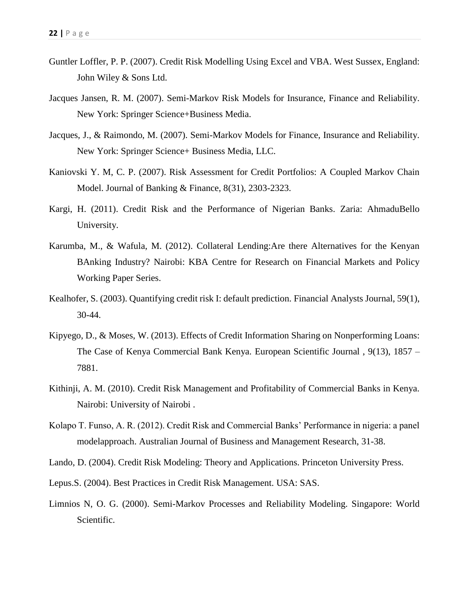- Guntler Loffler, P. P. (2007). Credit Risk Modelling Using Excel and VBA. West Sussex, England: John Wiley & Sons Ltd.
- Jacques Jansen, R. M. (2007). Semi-Markov Risk Models for Insurance, Finance and Reliability. New York: Springer Science+Business Media.
- Jacques, J., & Raimondo, M. (2007). Semi-Markov Models for Finance, Insurance and Reliability. New York: Springer Science+ Business Media, LLC.
- Kaniovski Y. M, C. P. (2007). Risk Assessment for Credit Portfolios: A Coupled Markov Chain Model. Journal of Banking & Finance, 8(31), 2303-2323.
- Kargi, H. (2011). Credit Risk and the Performance of Nigerian Banks. Zaria: AhmaduBello University.
- Karumba, M., & Wafula, M. (2012). Collateral Lending:Are there Alternatives for the Kenyan BAnking Industry? Nairobi: KBA Centre for Research on Financial Markets and Policy Working Paper Series.
- Kealhofer, S. (2003). Quantifying credit risk I: default prediction. Financial Analysts Journal, 59(1), 30-44.
- Kipyego, D., & Moses, W. (2013). Effects of Credit Information Sharing on Nonperforming Loans: The Case of Kenya Commercial Bank Kenya. European Scientific Journal , 9(13), 1857 – 7881.
- Kithinji, A. M. (2010). Credit Risk Management and Profitability of Commercial Banks in Kenya. Nairobi: University of Nairobi .
- Kolapo T. Funso, A. R. (2012). Credit Risk and Commercial Banks' Performance in nigeria: a panel modelapproach. Australian Journal of Business and Management Research, 31-38.
- Lando, D. (2004). Credit Risk Modeling: Theory and Applications. Princeton University Press.
- Lepus.S. (2004). Best Practices in Credit Risk Management. USA: SAS.
- Limnios N, O. G. (2000). Semi-Markov Processes and Reliability Modeling. Singapore: World Scientific.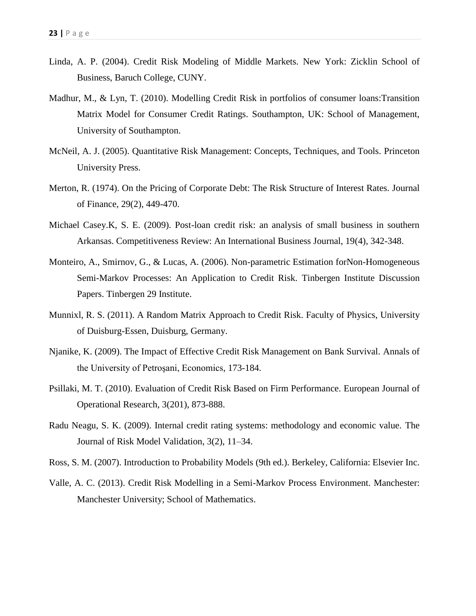- Linda, A. P. (2004). Credit Risk Modeling of Middle Markets. New York: Zicklin School of Business, Baruch College, CUNY.
- Madhur, M., & Lyn, T. (2010). Modelling Credit Risk in portfolios of consumer loans:Transition Matrix Model for Consumer Credit Ratings. Southampton, UK: School of Management, University of Southampton.
- McNeil, A. J. (2005). Quantitative Risk Management: Concepts, Techniques, and Tools. Princeton University Press.
- Merton, R. (1974). On the Pricing of Corporate Debt: The Risk Structure of Interest Rates. Journal of Finance, 29(2), 449-470.
- Michael Casey.K, S. E. (2009). Post-loan credit risk: an analysis of small business in southern Arkansas. Competitiveness Review: An International Business Journal, 19(4), 342-348.
- Monteiro, A., Smirnov, G., & Lucas, A. (2006). Non-parametric Estimation forNon-Homogeneous Semi-Markov Processes: An Application to Credit Risk. Tinbergen Institute Discussion Papers. Tinbergen 29 Institute.
- Munnixl, R. S. (2011). A Random Matrix Approach to Credit Risk. Faculty of Physics, University of Duisburg-Essen, Duisburg, Germany.
- Njanike, K. (2009). The Impact of Effective Credit Risk Management on Bank Survival. Annals of the University of Petroşani, Economics, 173-184.
- Psillaki, M. T. (2010). Evaluation of Credit Risk Based on Firm Performance. European Journal of Operational Research, 3(201), 873-888.
- Radu Neagu, S. K. (2009). Internal credit rating systems: methodology and economic value. The Journal of Risk Model Validation, 3(2), 11–34.
- Ross, S. M. (2007). Introduction to Probability Models (9th ed.). Berkeley, California: Elsevier Inc.
- Valle, A. C. (2013). Credit Risk Modelling in a Semi-Markov Process Environment. Manchester: Manchester University; School of Mathematics.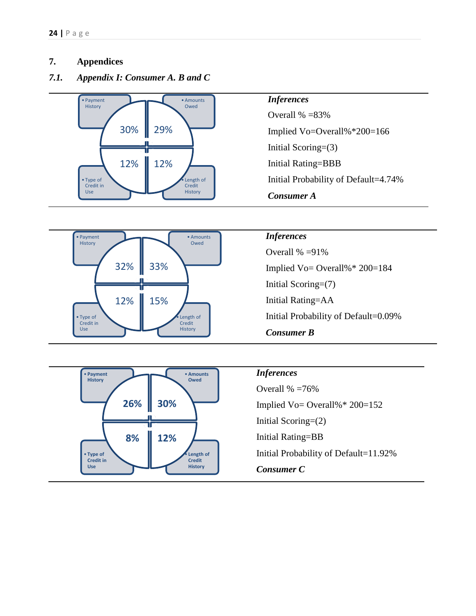### **7. Appendices**

• Type of Credit in Use

• Payment History

*7.1. Appendix I: Consumer A. B and C*



32% 33%

12% 15%





Overall % =91% Implied Vo= Overall%\* 200=184 Initial Scoring=(7) Initial Rating=AA Initial Probability of Default=0.09% *Consumer B*



Length of Credit History

• Amounts Owed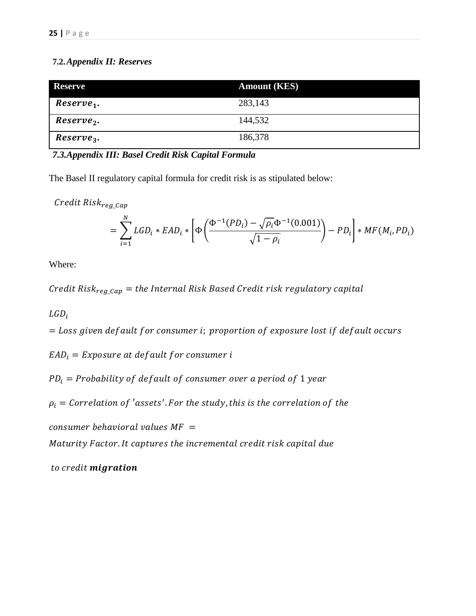### **7.2.***Appendix II: Reserves*

| <b>Reserve</b>         | <b>Amount (KES)</b> |
|------------------------|---------------------|
| Reserve <sub>1</sub> . | 283,143             |
| Reserve <sub>2</sub> . | 144,532             |
| $Reserve_3.$           | 186,378             |

*7.3.Appendix III: Basel Credit Risk Capital Formula*

The Basel II regulatory capital formula for credit risk is as stipulated below:

Credit Risk<sub>reg\_Cap</sub>

$$
= \sum_{i=1}^{N} LGD_i * EAD_i * \left[ \Phi \left( \frac{\Phi^{-1}(PD_i) - \sqrt{\rho_i} \Phi^{-1}(0.001)}{\sqrt{1 - \rho_i}} \right) - PD_i \right] * MF(M_i, PD_i)
$$

Where:

Credit Risk<sub>reg Cap</sub> = the Internal Risk Based Credit risk regulatory capital

 $LGD_i$ 

 $=$  Loss given default for consumer i; proportion of exposure lost if default occurs

 $EAD_i = Exposure$  at default for consumer i

 $PD_i = Probability$  of default of consumer over a period of 1 year

 $\rho_i = \emph{Correlation of 'assets'.}$  For the study, this is the correlation of the

 $consumer$  behavioral values  $MF =$ 

Maturity Factor. It captures the incremental credit risk capital due

to credit migration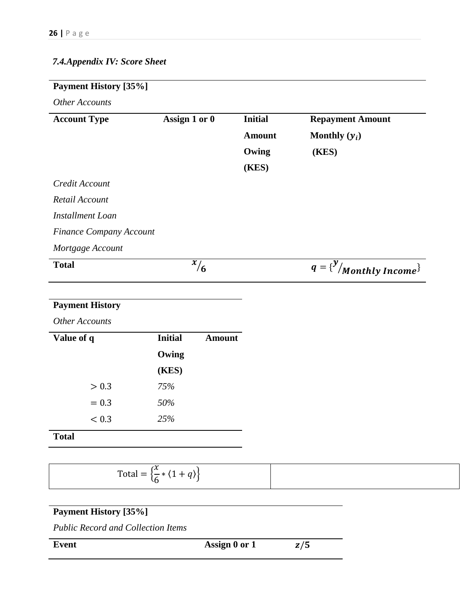## *7.4.Appendix IV: Score Sheet*

## **Payment History [35%]**

*Other Accounts*

| <b>Account Type</b>            | Assign 1 or 0 | <b>Initial</b> | <b>Repayment Amount</b>            |
|--------------------------------|---------------|----------------|------------------------------------|
|                                |               | <b>Amount</b>  | Monthly $(y_i)$                    |
|                                |               | Owing          | (KES)                              |
|                                |               | (KES)          |                                    |
| Credit Account                 |               |                |                                    |
| Retail Account                 |               |                |                                    |
| Installment Loan               |               |                |                                    |
| <b>Finance Company Account</b> |               |                |                                    |
| Mortgage Account               |               |                |                                    |
| <b>Total</b>                   | $\sqrt[x]{6}$ |                | $q = {y \choose y}$ Monthly Income |
|                                |               |                |                                    |

## **Payment History**

*Other Accounts*

| Value of q | <b>Initial</b> | Amount |
|------------|----------------|--------|
|            | Owing          |        |
|            | (KES)          |        |
| > 0.3      | 75%            |        |
| $= 0.3$    | 50%            |        |
| < 0.3      | 25%            |        |
|            |                |        |

**Total**

| ı v<br>$Total =$<br>$\tilde{\phantom{a}}$<br>$\mathbf{A}$<br>ж.<br>--<br>r |  |
|----------------------------------------------------------------------------|--|

## **Payment History [35%]**

*Public Record and Collection Items*

**Event Assign 0 or 1**  $z/5$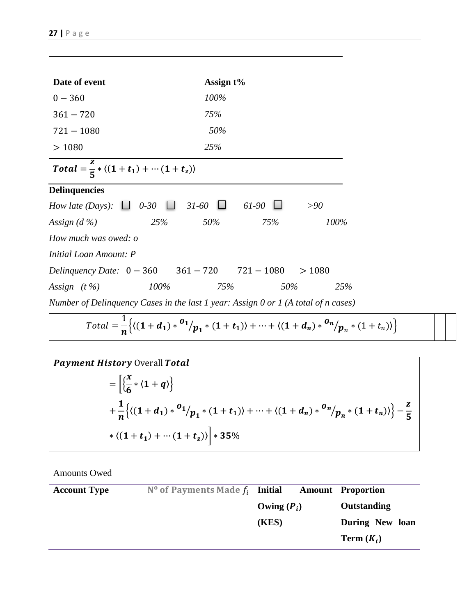| Date of event                                                                            |      | Assign $t\%$ |              |       |  |
|------------------------------------------------------------------------------------------|------|--------------|--------------|-------|--|
| $0 - 360$                                                                                |      | 100%         |              |       |  |
| $361 - 720$                                                                              |      | 75%          |              |       |  |
| $721 - 1080$                                                                             |      | 50%          |              |       |  |
| >1080                                                                                    |      | 25%          |              |       |  |
| Total = $\frac{2}{5}$ * $\langle (1+t_1) + \cdots (1+t_z) \rangle$                       |      |              |              |       |  |
| <b>Delinquencies</b>                                                                     |      |              |              |       |  |
| How late (Days): $\Box$ 0-30                                                             |      | $\Box$ 31-60 | 61-90        | >90   |  |
| Assign $(d\% )$                                                                          | 25%  | 50%          | 75%          | 100%  |  |
| How much was owed: o                                                                     |      |              |              |       |  |
| Initial Loan Amount: P                                                                   |      |              |              |       |  |
| Delinquency Date: $0 - 360$ $361 - 720$                                                  |      |              | $721 - 1080$ | >1080 |  |
| Assign $(t\%)$                                                                           | 100% | 75%          | 50%          | 25%   |  |
| Number of Delinquency Cases in the last $1$ year: Assign $0$ or $1$ (A total of n cases) |      |              |              |       |  |
|                                                                                          | 1    |              |              |       |  |

$$
Total = \frac{1}{n} \left\{ \left\langle (1 + d_1) * ^{0}1/p_1 * (1 + t_1) \right\rangle + \dots + \left\langle (1 + d_n) * ^{0}n/p_n * (1 + t_n) \right\rangle \right\}
$$

*Payment History* Overall *Total*  
\n
$$
= \left[ \left\{ \frac{x}{6} * (1 + q) \right\} + \frac{1}{n} \left\{ \left\langle (1 + d_1) * ^{01} / p_1 * (1 + t_1) \right\rangle + \dots + \left\langle (1 + d_n) * ^{0n} / p_n * (1 + t_n) \right\rangle \right\} - \frac{z}{5} + \left\langle (1 + t_1) + \dots + (1 + t_z) \right\rangle \right]
$$

Amounts Owed

| <b>Account Type</b> | $N^{\circ}$ of Payments Made $f_i$ Initial |               | <b>Amount</b> Proportion |
|---------------------|--------------------------------------------|---------------|--------------------------|
|                     |                                            | Owing $(P_i)$ | Outstanding              |
|                     |                                            | (KES)         | During New loan          |
|                     |                                            |               | Term $(K_i)$             |